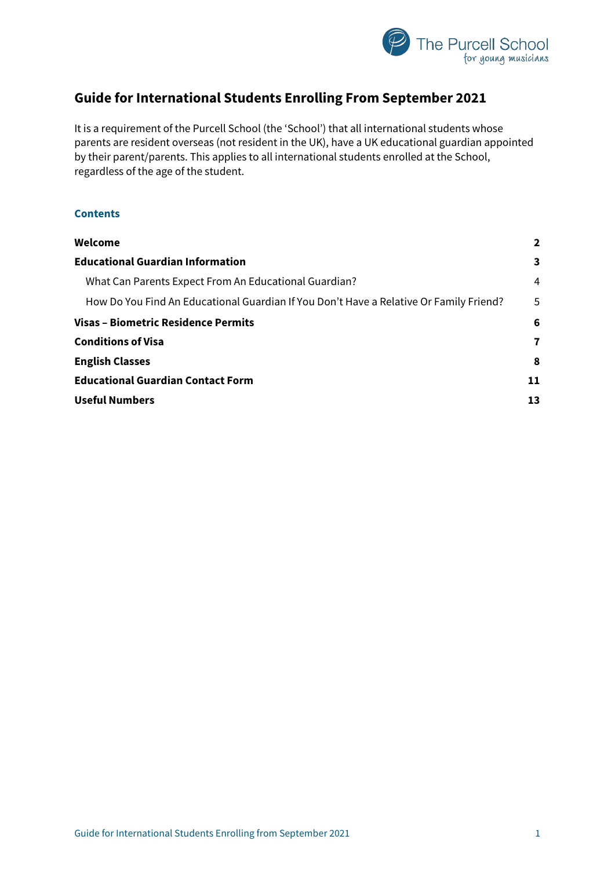

# **Guide for International Students Enrolling From September 2021**

It is a requirement of the Purcell School (the 'School') that all international students whose parents are resident overseas (not resident in the UK), have a UK educational guardian appointed by their parent/parents. This applies to all international students enrolled at the School, regardless of the age of the student.

# **Contents**

| Welcome                                                                                | $\overline{2}$          |
|----------------------------------------------------------------------------------------|-------------------------|
| <b>Educational Guardian Information</b>                                                | $\overline{\mathbf{3}}$ |
| What Can Parents Expect From An Educational Guardian?                                  | 4                       |
| How Do You Find An Educational Guardian If You Don't Have a Relative Or Family Friend? | 5                       |
| <b>Visas - Biometric Residence Permits</b>                                             | 6                       |
| <b>Conditions of Visa</b>                                                              | 7                       |
| <b>English Classes</b>                                                                 | 8                       |
| <b>Educational Guardian Contact Form</b>                                               | 11                      |
| <b>Useful Numbers</b>                                                                  | 13                      |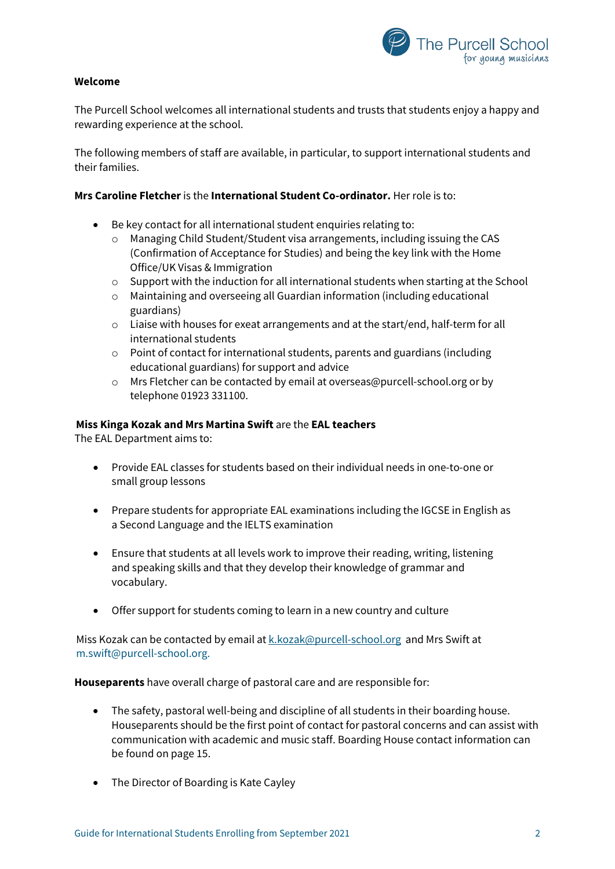

# <span id="page-1-0"></span>**Welcome**

The Purcell School welcomes all international students and trusts that students enjoy a happy and rewarding experience at the school.

The following members of staff are available, in particular, to support international students and their families.

## **Mrs Caroline Fletcher** is the **International Student Co-ordinator.** Her role is to:

- Be key contact for all international student enquiries relating to:
	- o Managing Child Student/Student visa arrangements, including issuing the CAS (Confirmation of Acceptance for Studies) and being the key link with the Home Office/UK Visas & Immigration
	- o Support with the induction for all international students when starting at the School
	- o Maintaining and overseeing all Guardian information (including educational guardians)
	- $\circ$  Liaise with houses for exeat arrangements and at the start/end, half-term for all international students
	- $\circ$  Point of contact for international students, parents and guardians (including educational guardians) for support and advice
	- o Mrs Fletcher can be contacted by email at overseas@purcell-school.org or by telephone 01923 331100.

### **Miss Kinga Kozak and Mrs Martina Swift** are the **EAL teachers**

The EAL Department aims to:

- Provide EAL classes for students based on their individual needs in one-to-one or small group lessons
- Prepare students for appropriate EAL examinations including the IGCSE in English as a Second Language and the IELTS examination
- Ensure that students at all levels work to improve their reading, writing, listening and speaking skills and that they develop their knowledge of grammar and vocabulary.
- Offer support for students coming to learn in a new country and culture

Miss Kozak can be contacted by email at [k.kozak@purcell-school.org](mailto:k.kozak@purcell-school.org) and Mrs Swift at m.swift@purcell-school.org.

**Houseparents** have overall charge of pastoral care and are responsible for:

- The safety, pastoral well-being and discipline of all students in their boarding house. Houseparents should be the first point of contact for pastoral concerns and can assist with communication with academic and music staff. Boarding House contact information can be found on page 15.
- The Director of Boarding is Kate Cayley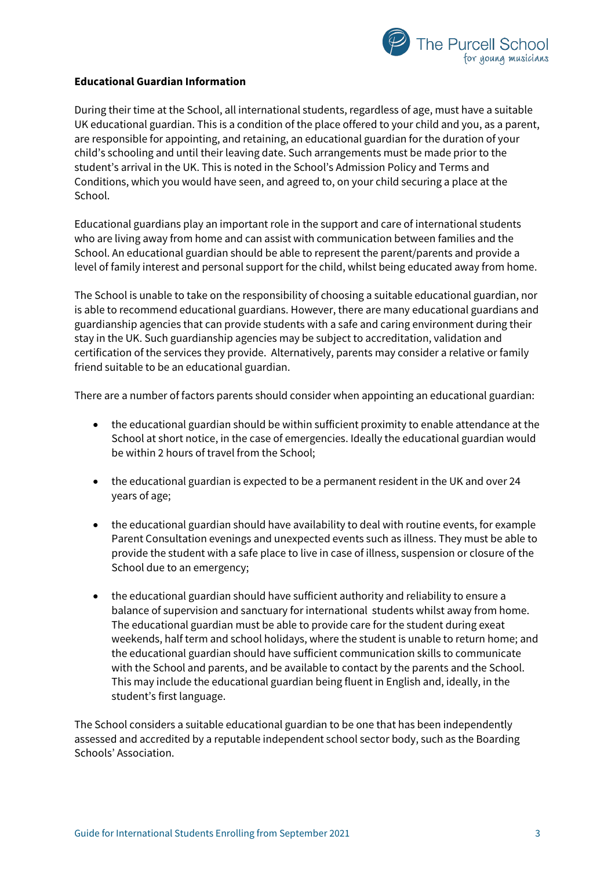

# <span id="page-2-0"></span>**Educational Guardian Information**

During their time at the School, all international students, regardless of age, must have a suitable UK educational guardian. This is a condition of the place offered to your child and you, as a parent, are responsible for appointing, and retaining, an educational guardian for the duration of your child's schooling and until their leaving date. Such arrangements must be made prior to the student's arrival in the UK. This is noted in the School's Admission Policy and Terms and Conditions, which you would have seen, and agreed to, on your child securing a place at the School.

Educational guardians play an important role in the support and care of international students who are living away from home and can assist with communication between families and the School. An educational guardian should be able to represent the parent/parents and provide a level of family interest and personal support for the child, whilst being educated away from home.

The School is unable to take on the responsibility of choosing a suitable educational guardian, nor is able to recommend educational guardians. However, there are many educational guardians and guardianship agencies that can provide students with a safe and caring environment during their stay in the UK. Such guardianship agencies may be subject to accreditation, validation and certification of the services they provide. Alternatively, parents may consider a relative or family friend suitable to be an educational guardian.

There are a number of factors parents should consider when appointing an educational guardian:

- the educational guardian should be within sufficient proximity to enable attendance at the School at short notice, in the case of emergencies. Ideally the educational guardian would be within 2 hours of travel from the School;
- the educational guardian is expected to be a permanent resident in the UK and over 24 years of age;
- the educational guardian should have availability to deal with routine events, for example Parent Consultation evenings and unexpected events such as illness. They must be able to provide the student with a safe place to live in case of illness, suspension or closure of the School due to an emergency;
- the educational guardian should have sufficient authority and reliability to ensure a balance of supervision and sanctuary for international students whilst away from home. The educational guardian must be able to provide care for the student during exeat weekends, half term and school holidays, where the student is unable to return home; and the educational guardian should have sufficient communication skills to communicate with the School and parents, and be available to contact by the parents and the School. This may include the educational guardian being fluent in English and, ideally, in the student's first language.

The School considers a suitable educational guardian to be one that has been independently assessed and accredited by a reputable independent school sector body, such as the Boarding Schools' Association.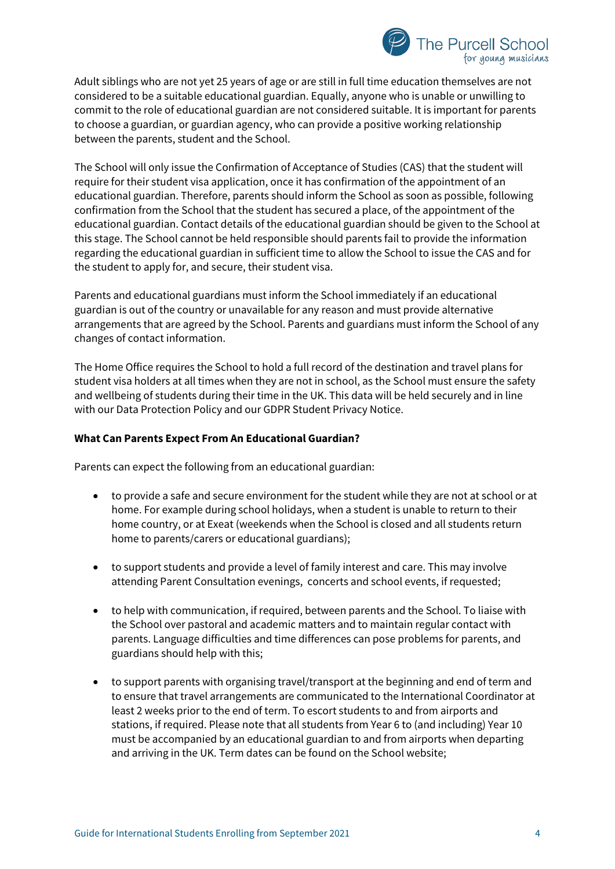

Adult siblings who are not yet 25 years of age or are still in full time education themselves are not considered to be a suitable educational guardian. Equally, anyone who is unable or unwilling to commit to the role of educational guardian are not considered suitable. It is important for parents to choose a guardian, or guardian agency, who can provide a positive working relationship between the parents, student and the School.

The School will only issue the Confirmation of Acceptance of Studies (CAS) that the student will require for their student visa application, once it has confirmation of the appointment of an educational guardian. Therefore, parents should inform the School as soon as possible, following confirmation from the School that the student has secured a place, of the appointment of the educational guardian. Contact details of the educational guardian should be given to the School at this stage. The School cannot be held responsible should parents fail to provide the information regarding the educational guardian in sufficient time to allow the School to issue the CAS and for the student to apply for, and secure, their student visa.

Parents and educational guardians must inform the School immediately if an educational guardian is out of the country or unavailable for any reason and must provide alternative arrangements that are agreed by the School. Parents and guardians must inform the School of any changes of contact information.

The Home Office requires the School to hold a full record of the destination and travel plans for student visa holders at all times when they are not in school, as the School must ensure the safety and wellbeing of students during their time in the UK. This data will be held securely and in line with our Data Protection Policy and our GDPR Student Privacy Notice.

# <span id="page-3-0"></span>**What Can Parents Expect From An Educational Guardian?**

Parents can expect the following from an educational guardian:

- to provide a safe and secure environment for the student while they are not at school or at home. For example during school holidays, when a student is unable to return to their home country, or at Exeat (weekends when the School is closed and all students return home to parents/carers or educational guardians);
- to support students and provide a level of family interest and care. This may involve attending Parent Consultation evenings, concerts and school events, if requested;
- to help with communication, if required, between parents and the School. To liaise with the School over pastoral and academic matters and to maintain regular contact with parents. Language difficulties and time differences can pose problems for parents, and guardians should help with this;
- to support parents with organising travel/transport at the beginning and end of term and to ensure that travel arrangements are communicated to the International Coordinator at least 2 weeks prior to the end of term. To escort students to and from airports and stations, if required. Please note that all students from Year 6 to (and including) Year 10 must be accompanied by an educational guardian to and from airports when departing and arriving in the UK. Term dates can be found on the School website;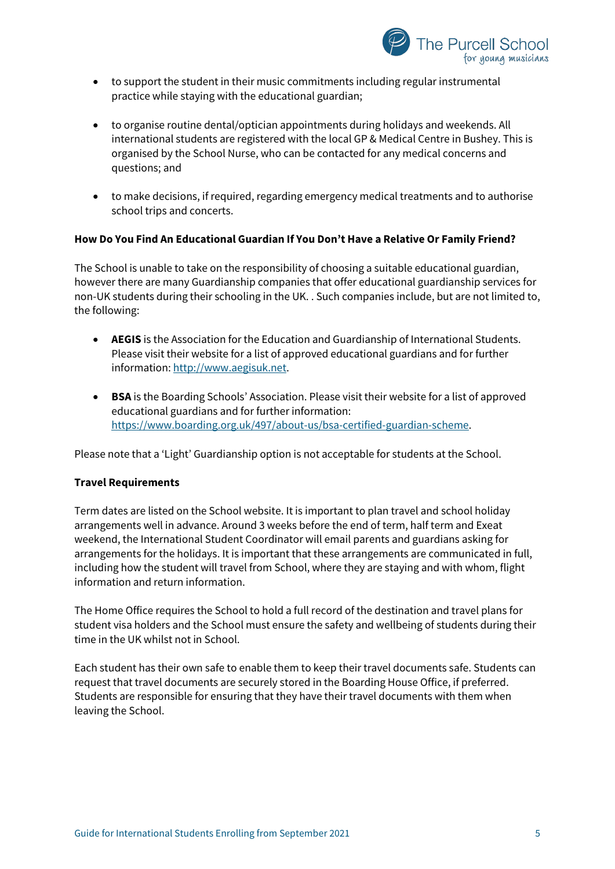

- to support the student in their music commitments including regular instrumental practice while staying with the educational guardian;
- to organise routine dental/optician appointments during holidays and weekends. All international students are registered with the local GP & Medical Centre in Bushey. This is organised by the School Nurse, who can be contacted for any medical concerns and questions; and
- to make decisions, if required, regarding emergency medical treatments and to authorise school trips and concerts.

# <span id="page-4-0"></span>**How Do You Find An Educational Guardian If You Don't Have a Relative Or Family Friend?**

The School is unable to take on the responsibility of choosing a suitable educational guardian, however there are many Guardianship companies that offer educational guardianship services for non-UK students during their schooling in the UK. . Such companies include, but are not limited to, the following:

- **AEGIS** is the Association for the Education and Guardianship of International Students. Please visit their website for a list of approved educational guardians and for further information: [http://www.aegisuk.net.](http://www.aegisuk.net/)
- **BSA** is the Boarding Schools' Association. Please visit their website for a list of approved educational guardians and for further information: [https://www.boarding.org.uk/497/about-us/bsa-certified-guardian-scheme.](https://www.boarding.org.uk/497/about-us/bsa-certified-guardian-scheme)

Please note that a 'Light' Guardianship option is not acceptable for students at the School.

### **Travel Requirements**

Term dates are listed on the School website. It is important to plan travel and school holiday arrangements well in advance. Around 3 weeks before the end of term, half term and Exeat weekend, the International Student Coordinator will email parents and guardians asking for arrangements for the holidays. It is important that these arrangements are communicated in full, including how the student will travel from School, where they are staying and with whom, flight information and return information.

The Home Office requires the School to hold a full record of the destination and travel plans for student visa holders and the School must ensure the safety and wellbeing of students during their time in the UK whilst not in School.

Each student has their own safe to enable them to keep their travel documents safe. Students can request that travel documents are securely stored in the Boarding House Office, if preferred. Students are responsible for ensuring that they have their travel documents with them when leaving the School.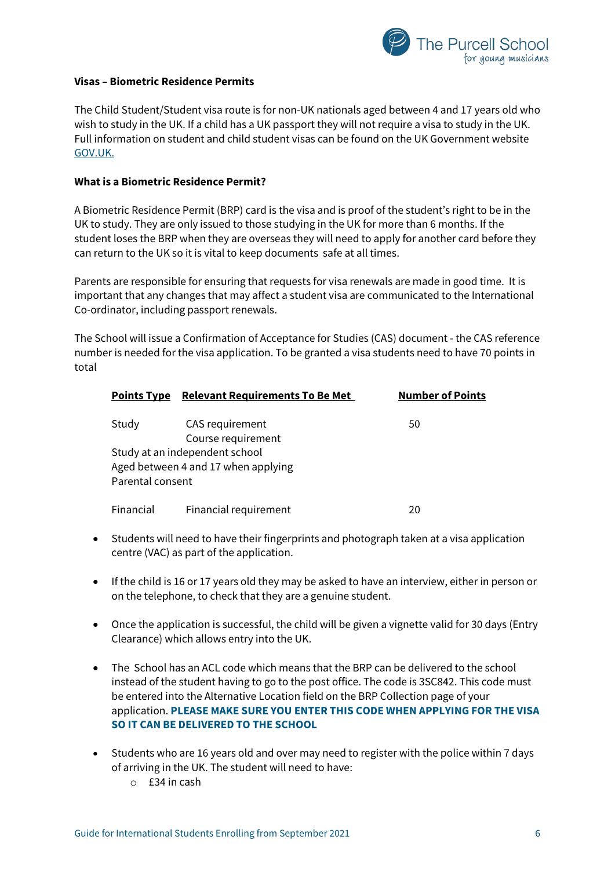

## <span id="page-5-0"></span>**Visas – Biometric Residence Permits**

The Child Student/Student visa route is for non-UK nationals aged between 4 and 17 years old who wish to study in the UK. If a child has a UK passport they will not require a visa to study in the UK. Full information on student and child student visas can be found on the UK Government website [GOV.UK.](https://www.gov.uk/child-study-visa)

## **What is a Biometric Residence Permit?**

A Biometric Residence Permit (BRP) card is the visa and is proof of the student's right to be in the UK to study. They are only issued to those studying in the UK for more than 6 months. If the student loses the BRP when they are overseas they will need to apply for another card before they can return to the UK so it is vital to keep documents safe at all times.

Parents are responsible for ensuring that requests for visa renewals are made in good time. It is important that any changes that may affect a student visa are communicated to the International Co-ordinator, including passport renewals.

The School will issue a Confirmation of Acceptance for Studies (CAS) document - the CAS reference number is needed for the visa application. To be granted a visa students need to have 70 points in total

| <b>Points Type</b> | <b>Relevant Requirements To Be Met</b>                                | <b>Number of Points</b> |
|--------------------|-----------------------------------------------------------------------|-------------------------|
| Study              | CAS requirement<br>Course requirement                                 | 50                      |
| Parental consent   | Study at an independent school<br>Aged between 4 and 17 when applying |                         |
| Financial          | Financial requirement                                                 | 20                      |

- Students will need to have their fingerprints and photograph taken at a visa application centre (VAC) as part of the application.
- If the child is 16 or 17 years old they may be asked to have an interview, either in person or on the telephone, to check that they are a genuine student.
- Once the application is successful, the child will be given a vignette valid for 30 days (Entry Clearance) which allows entry into the UK.
- The School has an ACL code which means that the BRP can be delivered to the school instead of the student having to go to the post office. The code is 3SC842. This code must be entered into the Alternative Location field on the BRP Collection page of your application. **PLEASE MAKE SURE YOU ENTER THIS CODE WHEN APPLYING FOR THE VISA SO IT CAN BE DELIVERED TO THE SCHOOL**
- Students who are 16 years old and over may need to register with the police within 7 days of arriving in the UK. The student will need to have:
	- o £34 in cash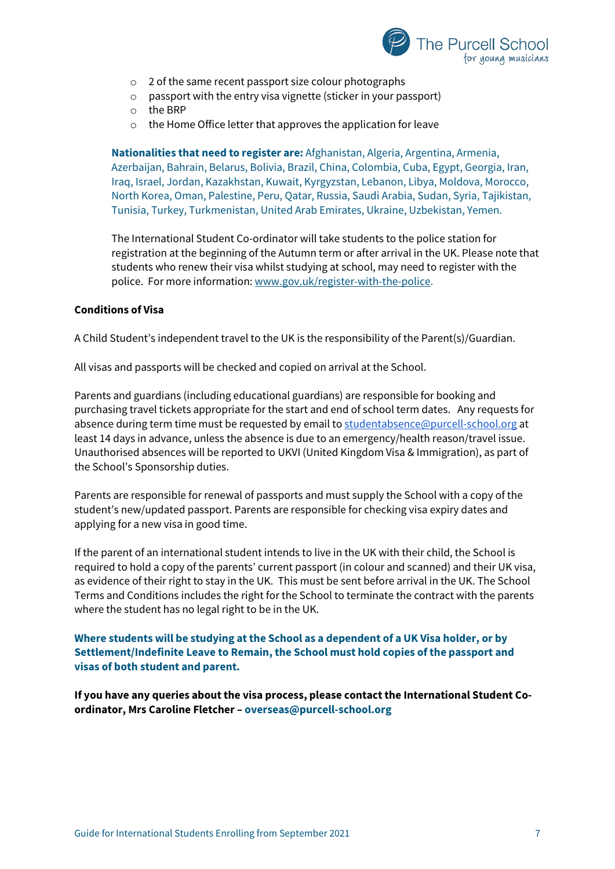

- o 2 of the same recent passport size colour photographs
- o passport with the entry visa vignette (sticker in your passport)
- o the BRP
- o the Home Office letter that approves the application for leave

**Nationalities that need to register are:** Afghanistan, Algeria, Argentina, Armenia, Azerbaijan, Bahrain, Belarus, Bolivia, Brazil, China, Colombia, Cuba, Egypt, Georgia, Iran, Iraq, Israel, Jordan, Kazakhstan, Kuwait, Kyrgyzstan, Lebanon, Libya, Moldova, Morocco, North Korea, Oman, Palestine, Peru, Qatar, Russia, Saudi Arabia, Sudan, Syria, Tajikistan, Tunisia, Turkey, Turkmenistan, United Arab Emirates, Ukraine, Uzbekistan, Yemen.

The International Student Co-ordinator will take students to the police station for registration at the beginning of the Autumn term or after arrival in the UK. Please note that students who renew their visa whilst studying at school, may need to register with the police. For more information: [www.gov.uk/register-with-the-police.](http://www.gov.uk/register-with-the-police)

#### <span id="page-6-0"></span>**Conditions of Visa**

A Child Student's independent travel to the UK is the responsibility of the Parent(s)/Guardian.

All visas and passports will be checked and copied on arrival at the School.

Parents and guardians (including educational guardians) are responsible for booking and purchasing travel tickets appropriate for the start and end of school term dates. Any requests for absence during term time must be requested by email t[o studentabsence@purcell-school.org](mailto:studentabsence@purcell-school.org) at least 14 days in advance, unless the absence is due to an emergency/health reason/travel issue. Unauthorised absences will be reported to UKVI (United Kingdom Visa & Immigration), as part of the School's Sponsorship duties.

Parents are responsible for renewal of passports and must supply the School with a copy of the student's new/updated passport. Parents are responsible for checking visa expiry dates and applying for a new visa in good time.

If the parent of an international student intends to live in the UK with their child, the School is required to hold a copy of the parents' current passport (in colour and scanned) and their UK visa, as evidence of their right to stay in the UK. This must be sent before arrival in the UK. The School Terms and Conditions includes the right for the School to terminate the contract with the parents where the student has no legal right to be in the UK.

**Where students will be studying at the School as a dependent of a UK Visa holder, or by Settlement/Indefinite Leave to Remain, the School must hold copies of the passport and visas of both student and parent.**

**If you have any queries about the visa process, please contact the International Student Coordinator, Mrs Caroline Fletcher – [overseas@purcell-school.org](mailto:overseas)**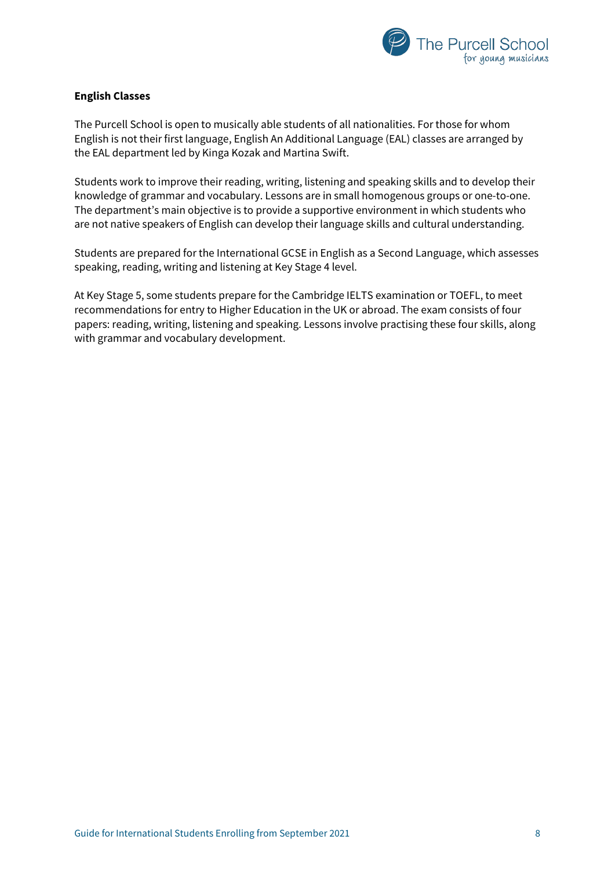

# <span id="page-7-0"></span>**English Classes**

The Purcell School is open to musically able students of all nationalities. For those for whom English is not their first language, English An Additional Language (EAL) classes are arranged by the EAL department led by Kinga Kozak and Martina Swift.

Students work to improve their reading, writing, listening and speaking skills and to develop their knowledge of grammar and vocabulary. Lessons are in small homogenous groups or one-to-one. The department's main objective is to provide a supportive environment in which students who are not native speakers of English can develop their language skills and cultural understanding.

Students are prepared for the International GCSE in English as a Second Language, which assesses speaking, reading, writing and listening at Key Stage 4 level.

At Key Stage 5, some students prepare for the Cambridge IELTS examination or TOEFL, to meet recommendations for entry to Higher Education in the UK or abroad. The exam consists of four papers: reading, writing, listening and speaking. Lessons involve practising these four skills, along with grammar and vocabulary development.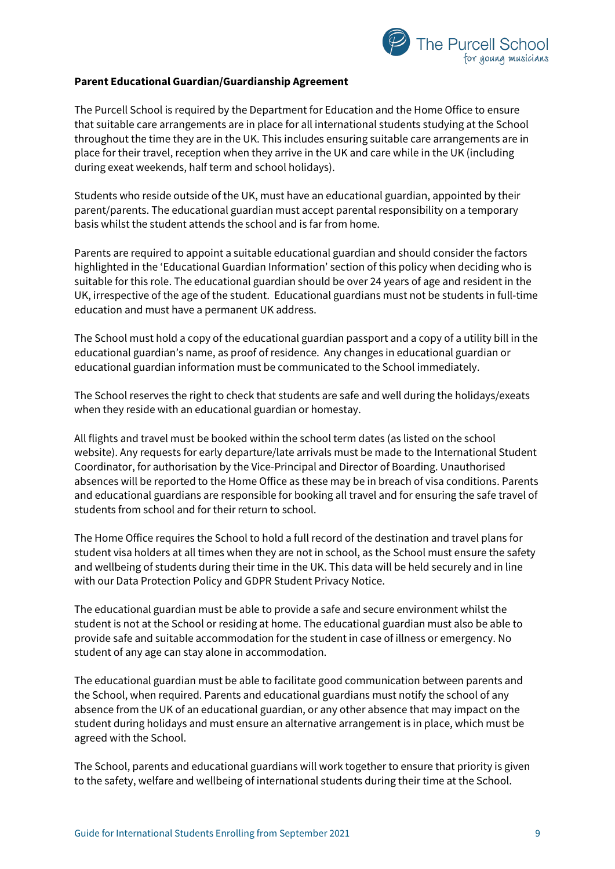

## **Parent Educational Guardian/Guardianship Agreement**

The Purcell School is required by the Department for Education and the Home Office to ensure that suitable care arrangements are in place for all international students studying at the School throughout the time they are in the UK. This includes ensuring suitable care arrangements are in place for their travel, reception when they arrive in the UK and care while in the UK (including during exeat weekends, half term and school holidays).

Students who reside outside of the UK, must have an educational guardian, appointed by their parent/parents. The educational guardian must accept parental responsibility on a temporary basis whilst the student attends the school and is far from home.

Parents are required to appoint a suitable educational guardian and should consider the factors highlighted in the 'Educational Guardian Information' section of this policy when deciding who is suitable for this role. The educational guardian should be over 24 years of age and resident in the UK, irrespective of the age of the student. Educational guardians must not be students in full-time education and must have a permanent UK address.

The School must hold a copy of the educational guardian passport and a copy of a utility bill in the educational guardian's name, as proof of residence. Any changes in educational guardian or educational guardian information must be communicated to the School immediately.

The School reserves the right to check that students are safe and well during the holidays/exeats when they reside with an educational guardian or homestay.

All flights and travel must be booked within the school term dates (as listed on the school website). Any requests for early departure/late arrivals must be made to the International Student Coordinator, for authorisation by the Vice-Principal and Director of Boarding. Unauthorised absences will be reported to the Home Office as these may be in breach of visa conditions. Parents and educational guardians are responsible for booking all travel and for ensuring the safe travel of students from school and for their return to school.

The Home Office requires the School to hold a full record of the destination and travel plans for student visa holders at all times when they are not in school, as the School must ensure the safety and wellbeing of students during their time in the UK. This data will be held securely and in line with our Data Protection Policy and GDPR Student Privacy Notice.

The educational guardian must be able to provide a safe and secure environment whilst the student is not at the School or residing at home. The educational guardian must also be able to provide safe and suitable accommodation for the student in case of illness or emergency. No student of any age can stay alone in accommodation.

The educational guardian must be able to facilitate good communication between parents and the School, when required. Parents and educational guardians must notify the school of any absence from the UK of an educational guardian, or any other absence that may impact on the student during holidays and must ensure an alternative arrangement is in place, which must be agreed with the School.

The School, parents and educational guardians will work together to ensure that priority is given to the safety, welfare and wellbeing of international students during their time at the School.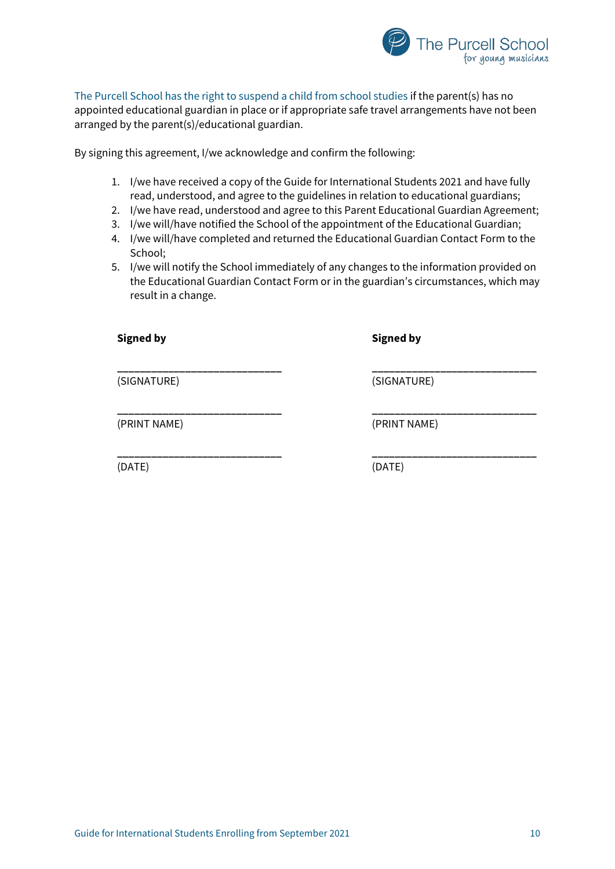

The Purcell School has the right to suspend a child from school studies if the parent(s) has no appointed educational guardian in place or if appropriate safe travel arrangements have not been arranged by the parent(s)/educational guardian.

By signing this agreement, I/we acknowledge and confirm the following:

- 1. I/we have received a copy of the Guide for International Students 2021 and have fully read, understood, and agree to the guidelines in relation to educational guardians;
- 2. I/we have read, understood and agree to this Parent Educational Guardian Agreement;
- 3. I/we will/have notified the School of the appointment of the Educational Guardian;
- 4. I/we will/have completed and returned the Educational Guardian Contact Form to the School;
- 5. I/we will notify the School immediately of any changes to the information provided on the Educational Guardian Contact Form or in the guardian's circumstances, which may result in a change.

**\_\_\_\_\_\_\_\_\_\_\_\_\_\_\_\_\_\_\_\_\_\_\_\_\_\_\_\_\_ \_\_\_\_\_\_\_\_\_\_\_\_\_\_\_\_\_\_\_\_\_\_\_\_\_\_\_\_\_**

**\_\_\_\_\_\_\_\_\_\_\_\_\_\_\_\_\_\_\_\_\_\_\_\_\_\_\_\_\_ \_\_\_\_\_\_\_\_\_\_\_\_\_\_\_\_\_\_\_\_\_\_\_\_\_\_\_\_\_**

**Signed by Signed by**

(SIGNATURE) (SIGNATURE)

(PRINT NAME) (PRINT NAME)

(DATE) (DATE)

**\_\_\_\_\_\_\_\_\_\_\_\_\_\_\_\_\_\_\_\_\_\_\_\_\_\_\_\_\_ \_\_\_\_\_\_\_\_\_\_\_\_\_\_\_\_\_\_\_\_\_\_\_\_\_\_\_\_\_**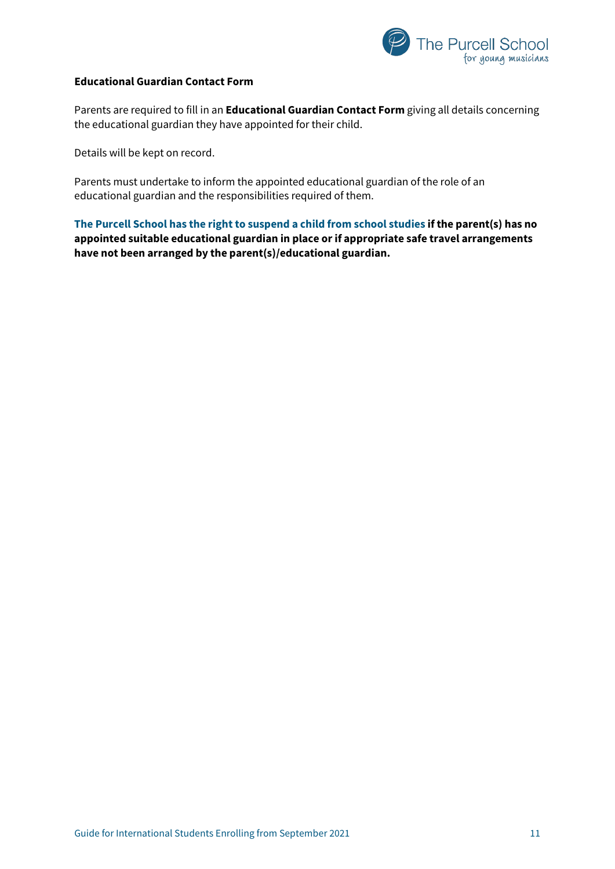

## <span id="page-10-0"></span>**Educational Guardian Contact Form**

Parents are required to fill in an **Educational Guardian Contact Form** giving all details concerning the educational guardian they have appointed for their child.

Details will be kept on record.

Parents must undertake to inform the appointed educational guardian of the role of an educational guardian and the responsibilities required of them.

**The Purcell School has the right to suspend a child from school studies if the parent(s) has no appointed suitable educational guardian in place or if appropriate safe travel arrangements have not been arranged by the parent(s)/educational guardian.**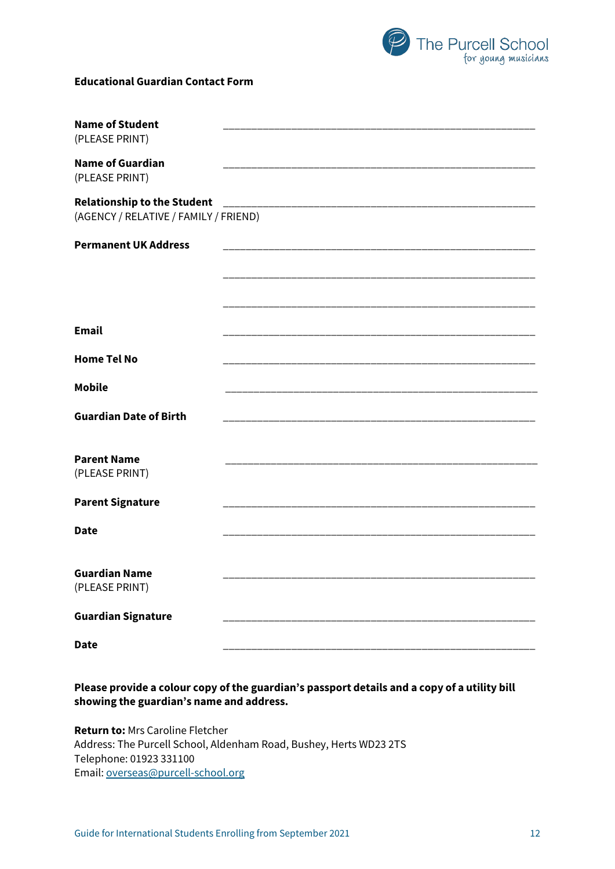

## **Educational Guardian Contact Form**

| <b>Name of Student</b><br>(PLEASE PRINT)                                    |  |
|-----------------------------------------------------------------------------|--|
| <b>Name of Guardian</b><br>(PLEASE PRINT)                                   |  |
| <b>Relationship to the Student</b><br>(AGENCY / RELATIVE / FAMILY / FRIEND) |  |
| <b>Permanent UK Address</b>                                                 |  |
|                                                                             |  |
| <b>Email</b>                                                                |  |
| <b>Home Tel No</b>                                                          |  |
| <b>Mobile</b>                                                               |  |
| <b>Guardian Date of Birth</b>                                               |  |
| <b>Parent Name</b><br>(PLEASE PRINT)                                        |  |
| <b>Parent Signature</b>                                                     |  |
| <b>Date</b>                                                                 |  |
| <b>Guardian Name</b><br>(PLEASE PRINT)                                      |  |
| <b>Guardian Signature</b>                                                   |  |
| <b>Date</b>                                                                 |  |

**Please provide a colour copy of the guardian's passport details and a copy of a utility bill showing the guardian's name and address.**

**Return to:** Mrs Caroline Fletcher Address: The Purcell School, Aldenham Road, Bushey, Herts WD23 2TS Telephone: 01923 331100 Email: [overseas@purcell-school.org](mailto:overseas@purcell-school.org)